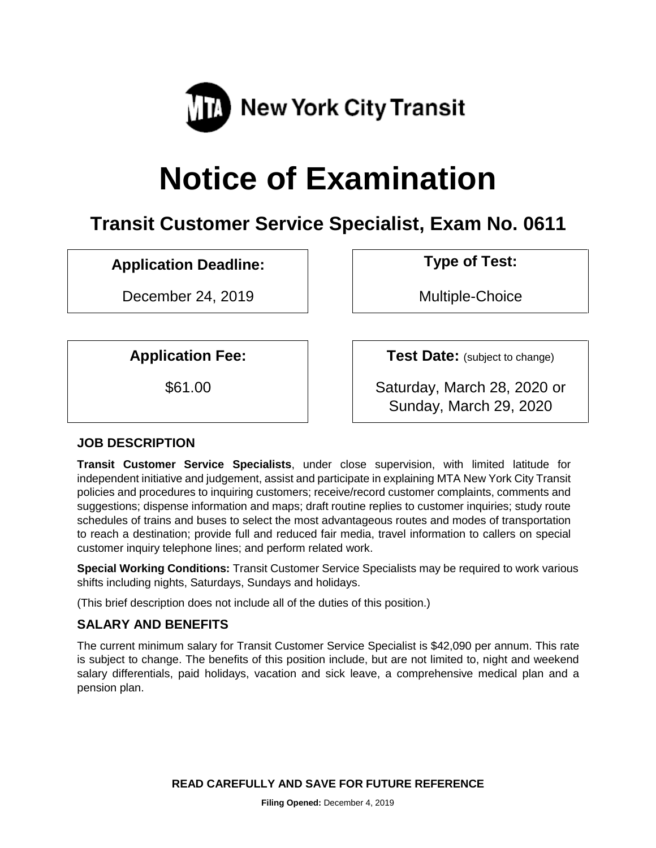

# **Notice of Examination**

# **Transit Customer Service Specialist, Exam No. 0611**

## **Application Deadline: Type of Test:**

December 24, 2019 | Nultiple-Choice

**Application Fee:**  $\vert$  **Test Date:** (subject to change)

\$61.00 Saturday, March 28, 2020 or Sunday, March 29, 2020

## **JOB DESCRIPTION**

**Transit Customer Service Specialists**, under close supervision, with limited latitude for independent initiative and judgement, assist and participate in explaining MTA New York City Transit policies and procedures to inquiring customers; receive/record customer complaints, comments and suggestions; dispense information and maps; draft routine replies to customer inquiries; study route schedules of trains and buses to select the most advantageous routes and modes of transportation to reach a destination; provide full and reduced fair media, travel information to callers on special customer inquiry telephone lines; and perform related work.

**Special Working Conditions:** Transit Customer Service Specialists may be required to work various shifts including nights, Saturdays, Sundays and holidays.

(This brief description does not include all of the duties of this position.)

## **SALARY AND BENEFITS**

The current minimum salary for Transit Customer Service Specialist is \$42,090 per annum. This rate is subject to change. The benefits of this position include, but are not limited to, night and weekend salary differentials, paid holidays, vacation and sick leave, a comprehensive medical plan and a pension plan.

**READ CAREFULLY AND SAVE FOR FUTURE REFERENCE**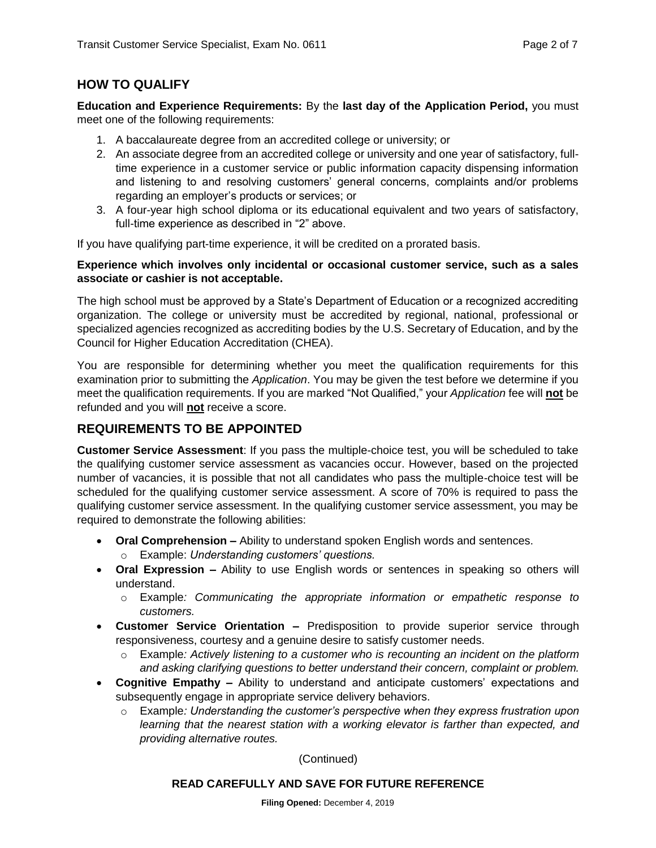## **HOW TO QUALIFY**

**Education and Experience Requirements:** By the **last day of the Application Period,** you must meet one of the following requirements:

- 1. A baccalaureate degree from an accredited college or university; or
- 2. An associate degree from an accredited college or university and one year of satisfactory, fulltime experience in a customer service or public information capacity dispensing information and listening to and resolving customers' general concerns, complaints and/or problems regarding an employer's products or services; or
- 3. A four-year high school diploma or its educational equivalent and two years of satisfactory, full-time experience as described in "2" above.

If you have qualifying part-time experience, it will be credited on a prorated basis.

#### **Experience which involves only incidental or occasional customer service, such as a sales associate or cashier is not acceptable.**

The high school must be approved by a State's Department of Education or a recognized accrediting organization. The college or university must be accredited by regional, national, professional or specialized agencies recognized as accrediting bodies by the U.S. Secretary of Education, and by the Council for Higher Education Accreditation (CHEA).

You are responsible for determining whether you meet the qualification requirements for this examination prior to submitting the *Application*. You may be given the test before we determine if you meet the qualification requirements. If you are marked "Not Qualified," your *Application* fee will **not** be refunded and you will **not** receive a score.

## **REQUIREMENTS TO BE APPOINTED**

**Customer Service Assessment**: If you pass the multiple-choice test, you will be scheduled to take the qualifying customer service assessment as vacancies occur. However, based on the projected number of vacancies, it is possible that not all candidates who pass the multiple-choice test will be scheduled for the qualifying customer service assessment. A score of 70% is required to pass the qualifying customer service assessment. In the qualifying customer service assessment, you may be required to demonstrate the following abilities:

- **Oral Comprehension –** Ability to understand spoken English words and sentences.
	- o Example: *Understanding customers' questions.*
- **Oral Expression –** Ability to use English words or sentences in speaking so others will understand.
	- o Example*: Communicating the appropriate information or empathetic response to customers.*
- **Customer Service Orientation –** Predisposition to provide superior service through responsiveness, courtesy and a genuine desire to satisfy customer needs.
	- o Example*: Actively listening to a customer who is recounting an incident on the platform and asking clarifying questions to better understand their concern, complaint or problem.*
- **Cognitive Empathy –** Ability to understand and anticipate customers' expectations and subsequently engage in appropriate service delivery behaviors.
	- o Example*: Understanding the customer's perspective when they express frustration upon*  learning that the nearest station with a working elevator is farther than expected, and *providing alternative routes.*

(Continued)

#### **READ CAREFULLY AND SAVE FOR FUTURE REFERENCE**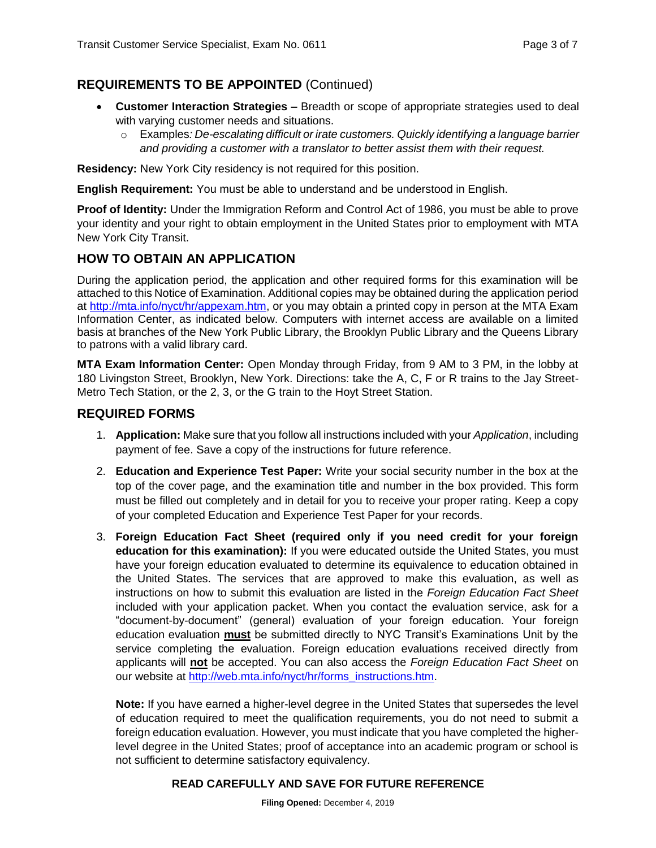## **REQUIREMENTS TO BE APPOINTED** (Continued)

- **Customer Interaction Strategies –** Breadth or scope of appropriate strategies used to deal with varying customer needs and situations.
	- o Examples*: De-escalating difficult or irate customers. Quickly identifying a language barrier and providing a customer with a translator to better assist them with their request.*

**Residency:** New York City residency is not required for this position.

**English Requirement:** You must be able to understand and be understood in English.

**Proof of Identity:** Under the Immigration Reform and Control Act of 1986, you must be able to prove your identity and your right to obtain employment in the United States prior to employment with MTA New York City Transit.

## **HOW TO OBTAIN AN APPLICATION**

During the application period, the application and other required forms for this examination will be attached to this Notice of Examination. Additional copies may be obtained during the application period at [http://mta.info/nyct/hr/appexam.htm,](http://mta.info/nyct/hr/appexam.htm) or you may obtain a printed copy in person at the MTA Exam Information Center, as indicated below. Computers with internet access are available on a limited basis at branches of the New York Public Library, the Brooklyn Public Library and the Queens Library to patrons with a valid library card.

**MTA Exam Information Center:** Open Monday through Friday, from 9 AM to 3 PM, in the lobby at 180 Livingston Street, Brooklyn, New York. Directions: take the A, C, F or R trains to the Jay Street-Metro Tech Station, or the 2, 3, or the G train to the Hoyt Street Station.

#### **REQUIRED FORMS**

- 1. **Application:** Make sure that you follow all instructions included with your *Application*, including payment of fee. Save a copy of the instructions for future reference.
- 2. **Education and Experience Test Paper:** Write your social security number in the box at the top of the cover page, and the examination title and number in the box provided. This form must be filled out completely and in detail for you to receive your proper rating. Keep a copy of your completed Education and Experience Test Paper for your records.
- 3. **Foreign Education Fact Sheet (required only if you need credit for your foreign education for this examination):** If you were educated outside the United States, you must have your foreign education evaluated to determine its equivalence to education obtained in the United States. The services that are approved to make this evaluation, as well as instructions on how to submit this evaluation are listed in the *Foreign Education Fact Sheet* included with your application packet. When you contact the evaluation service, ask for a "document-by-document" (general) evaluation of your foreign education. Your foreign education evaluation **must** be submitted directly to NYC Transit's Examinations Unit by the service completing the evaluation. Foreign education evaluations received directly from applicants will **not** be accepted. You can also access the *Foreign Education Fact Sheet* on our website at [http://web.mta.info/nyct/hr/forms\\_instructions.htm.](http://web.mta.info/nyct/hr/forms_instructions.htm)

**Note:** If you have earned a higher-level degree in the United States that supersedes the level of education required to meet the qualification requirements, you do not need to submit a foreign education evaluation. However, you must indicate that you have completed the higherlevel degree in the United States; proof of acceptance into an academic program or school is not sufficient to determine satisfactory equivalency.

#### **READ CAREFULLY AND SAVE FOR FUTURE REFERENCE**

**Filing Opened:** December 4, 2019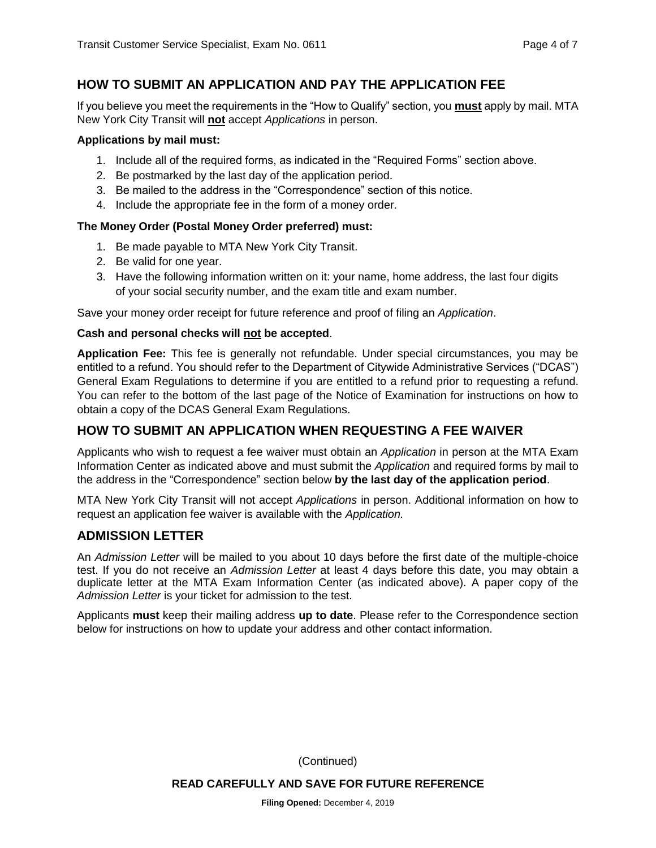## **HOW TO SUBMIT AN APPLICATION AND PAY THE APPLICATION FEE**

If you believe you meet the requirements in the "How to Qualify" section, you **must** apply by mail. MTA New York City Transit will **not** accept *Applications* in person.

#### **Applications by mail must:**

- 1. Include all of the required forms, as indicated in the "Required Forms" section above.
- 2. Be postmarked by the last day of the application period.
- 3. Be mailed to the address in the "Correspondence" section of this notice.
- 4. Include the appropriate fee in the form of a money order.

#### **The Money Order (Postal Money Order preferred) must:**

- 1. Be made payable to MTA New York City Transit.
- 2. Be valid for one year.
- 3. Have the following information written on it: your name, home address, the last four digits of your social security number, and the exam title and exam number.

Save your money order receipt for future reference and proof of filing an *Application*.

#### **Cash and personal checks will not be accepted**.

**Application Fee:** This fee is generally not refundable. Under special circumstances, you may be entitled to a refund. You should refer to the Department of Citywide Administrative Services ("DCAS") General Exam Regulations to determine if you are entitled to a refund prior to requesting a refund. You can refer to the bottom of the last page of the Notice of Examination for instructions on how to obtain a copy of the DCAS General Exam Regulations.

## **HOW TO SUBMIT AN APPLICATION WHEN REQUESTING A FEE WAIVER**

Applicants who wish to request a fee waiver must obtain an *Application* in person at the MTA Exam Information Center as indicated above and must submit the *Application* and required forms by mail to the address in the "Correspondence" section below **by the last day of the application period**.

MTA New York City Transit will not accept *Applications* in person. Additional information on how to request an application fee waiver is available with the *Application.*

## **ADMISSION LETTER**

An *Admission Letter* will be mailed to you about 10 days before the first date of the multiple-choice test. If you do not receive an *Admission Letter* at least 4 days before this date, you may obtain a duplicate letter at the MTA Exam Information Center (as indicated above). A paper copy of the *Admission Letter* is your ticket for admission to the test.

Applicants **must** keep their mailing address **up to date**. Please refer to the Correspondence section below for instructions on how to update your address and other contact information.

(Continued)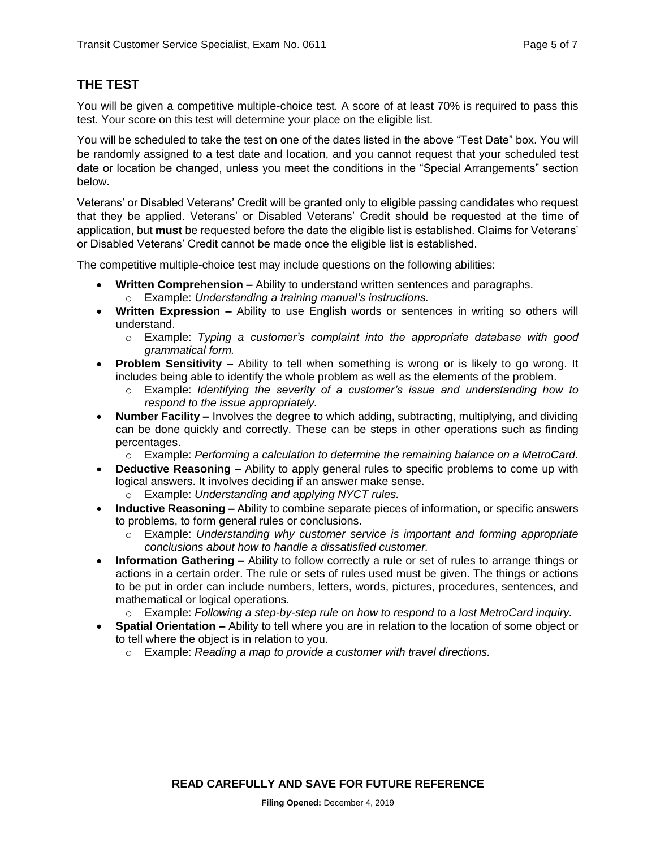## **THE TEST**

You will be given a competitive multiple-choice test. A score of at least 70% is required to pass this test. Your score on this test will determine your place on the eligible list.

You will be scheduled to take the test on one of the dates listed in the above "Test Date" box. You will be randomly assigned to a test date and location, and you cannot request that your scheduled test date or location be changed, unless you meet the conditions in the "Special Arrangements" section below.

Veterans' or Disabled Veterans' Credit will be granted only to eligible passing candidates who request that they be applied. Veterans' or Disabled Veterans' Credit should be requested at the time of application, but **must** be requested before the date the eligible list is established. Claims for Veterans' or Disabled Veterans' Credit cannot be made once the eligible list is established.

The competitive multiple-choice test may include questions on the following abilities:

- **Written Comprehension –** Ability to understand written sentences and paragraphs. o Example: *Understanding a training manual's instructions.*
- **Written Expression –** Ability to use English words or sentences in writing so others will understand.
	- o Example: *Typing a customer's complaint into the appropriate database with good grammatical form.*
- **Problem Sensitivity –** Ability to tell when something is wrong or is likely to go wrong. It includes being able to identify the whole problem as well as the elements of the problem.
	- o Example: *Identifying the severity of a customer's issue and understanding how to respond to the issue appropriately.*
- **Number Facility –** Involves the degree to which adding, subtracting, multiplying, and dividing can be done quickly and correctly. These can be steps in other operations such as finding percentages.

o Example: *Performing a calculation to determine the remaining balance on a MetroCard.*

- **Deductive Reasoning –** Ability to apply general rules to specific problems to come up with logical answers. It involves deciding if an answer make sense.
	- o Example: *Understanding and applying NYCT rules.*
- **Inductive Reasoning –** Ability to combine separate pieces of information, or specific answers to problems, to form general rules or conclusions.
	- o Example: *Understanding why customer service is important and forming appropriate conclusions about how to handle a dissatisfied customer.*
- **Information Gathering –** Ability to follow correctly a rule or set of rules to arrange things or actions in a certain order. The rule or sets of rules used must be given. The things or actions to be put in order can include numbers, letters, words, pictures, procedures, sentences, and mathematical or logical operations.
	- o Example: *Following a step-by-step rule on how to respond to a lost MetroCard inquiry.*
- **Spatial Orientation –** Ability to tell where you are in relation to the location of some object or to tell where the object is in relation to you.
	- o Example: *Reading a map to provide a customer with travel directions.*

**READ CAREFULLY AND SAVE FOR FUTURE REFERENCE**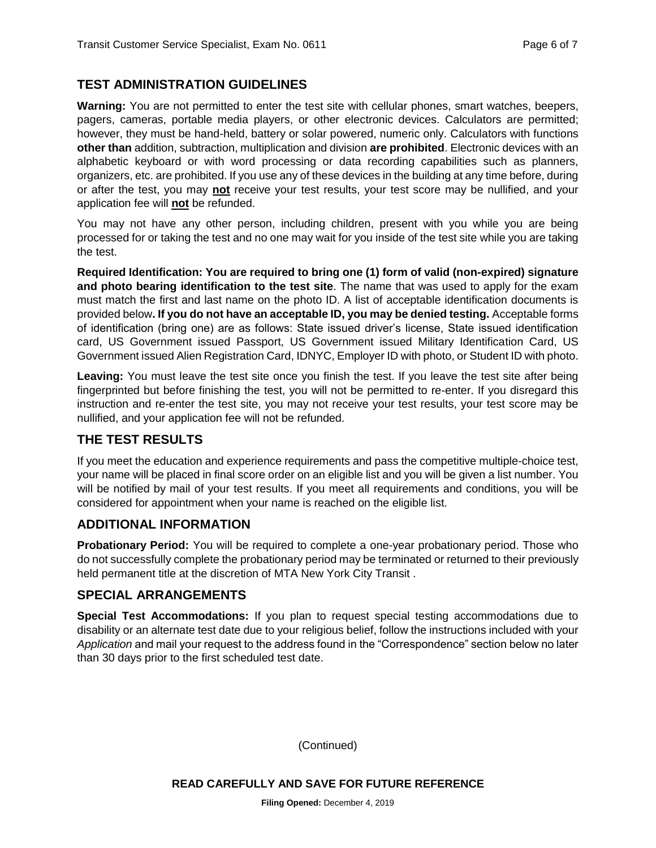## **TEST ADMINISTRATION GUIDELINES**

**Warning:** You are not permitted to enter the test site with cellular phones, smart watches, beepers, pagers, cameras, portable media players, or other electronic devices. Calculators are permitted; however, they must be hand-held, battery or solar powered, numeric only. Calculators with functions **other than** addition, subtraction, multiplication and division **are prohibited**. Electronic devices with an alphabetic keyboard or with word processing or data recording capabilities such as planners, organizers, etc. are prohibited. If you use any of these devices in the building at any time before, during or after the test, you may **not** receive your test results, your test score may be nullified, and your application fee will **not** be refunded.

You may not have any other person, including children, present with you while you are being processed for or taking the test and no one may wait for you inside of the test site while you are taking the test.

**Required Identification: You are required to bring one (1) form of valid (non-expired) signature and photo bearing identification to the test site**. The name that was used to apply for the exam must match the first and last name on the photo ID. A list of acceptable identification documents is provided below**. If you do not have an acceptable ID, you may be denied testing.** Acceptable forms of identification (bring one) are as follows: State issued driver's license, State issued identification card, US Government issued Passport, US Government issued Military Identification Card, US Government issued Alien Registration Card, IDNYC, Employer ID with photo, or Student ID with photo.

Leaving: You must leave the test site once you finish the test. If you leave the test site after being fingerprinted but before finishing the test, you will not be permitted to re-enter. If you disregard this instruction and re-enter the test site, you may not receive your test results, your test score may be nullified, and your application fee will not be refunded.

## **THE TEST RESULTS**

If you meet the education and experience requirements and pass the competitive multiple-choice test, your name will be placed in final score order on an eligible list and you will be given a list number. You will be notified by mail of your test results. If you meet all requirements and conditions, you will be considered for appointment when your name is reached on the eligible list.

## **ADDITIONAL INFORMATION**

**Probationary Period:** You will be required to complete a one-year probationary period. Those who do not successfully complete the probationary period may be terminated or returned to their previously held permanent title at the discretion of MTA New York City Transit .

## **SPECIAL ARRANGEMENTS**

**Special Test Accommodations:** If you plan to request special testing accommodations due to disability or an alternate test date due to your religious belief, follow the instructions included with your *Application* and mail your request to the address found in the "Correspondence" section below no later than 30 days prior to the first scheduled test date.

(Continued)